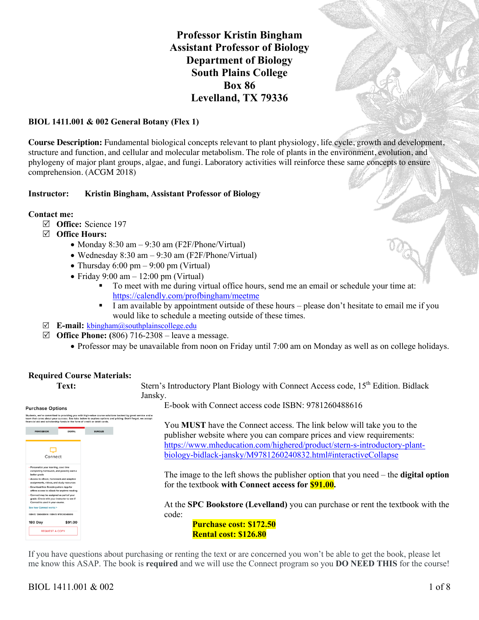**Professor Kristin Bingham Assistant Professor of Biology Department of Biology South Plains College Box 86 Levelland, TX 79336**



#### **BIOL 1411.001 & 002 General Botany (Flex 1)**

**Course Description:** Fundamental biological concepts relevant to plant physiology, life cycle, growth and development, structure and function, and cellular and molecular metabolism. The role of plants in the environment, evolution, and phylogeny of major plant groups, algae, and fungi. Laboratory activities will reinforce these same concepts to ensure comprehension. (ACGM 2018)

#### **Instructor: Kristin Bingham, Assistant Professor of Biology**

#### **Contact me:**

- R **Office:** Science 197
- R **Office Hours:**
	- Monday 8:30 am 9:30 am (F2F/Phone/Virtual)
	- Wednesday 8:30 am 9:30 am (F2F/Phone/Virtual)
	- Thursday  $6:00 \text{ pm} 9:00 \text{ pm}$  (Virtual)
	- Friday 9:00 am  $-12:00$  pm (Virtual)
		- § To meet with me during virtual office hours, send me an email or schedule your time at: https://calendly.com/profbingham/meetme
		- I am available by appointment outside of these hours please don't hesitate to email me if you would like to schedule a meeting outside of these times.
- R **E-mail:** kbingham@southplainscollege.edu
- $\boxtimes$  **Office Phone:** (806) 716-2308 leave a message.
	- Professor may be unavailable from noon on Friday until 7:00 am on Monday as well as on college holidays.

# **Required Course Materials:**

**Purchase Ontions** Students, we're committed to providing you with high-value course solutions backed by great service and a<br>team that cares about your success. See tabs below to explore options and pricing. Don't forget, we accept<br>financial ₽ Connect \$91.00 180 Day **REQUEST A COPY** 

**Text:** Stern's Introductory Plant Biology with Connect Access code, 15<sup>th</sup> Edition. Bidlack Jansky.

E-book with Connect access code ISBN: 9781260488616

You **MUST** have the Connect access. The link below will take you to the publisher website where you can compare prices and view requirements: https://www.mheducation.com/highered/product/stern-s-introductory-plantbiology-bidlack-jansky/M9781260240832.html#interactiveCollapse

The image to the left shows the publisher option that you need – the **digital option** for the textbook **with Connect access for \$91.00.** 

At the **SPC Bookstore (Levelland)** you can purchase or rent the textbook with the code:

**Purchase cost: \$172.50 Rental cost: \$126.80**

If you have questions about purchasing or renting the text or are concerned you won't be able to get the book, please let me know this ASAP. The book is **required** and we will use the Connect program so you **DO NEED THIS** for the course!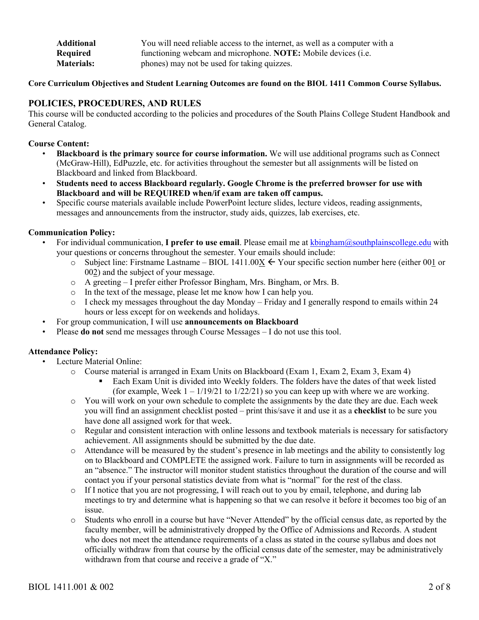| <b>Additional</b> | You will need reliable access to the internet, as well as a computer with a |
|-------------------|-----------------------------------------------------------------------------|
| Required          | functioning webcam and microphone. NOTE: Mobile devices (i.e.               |
| <b>Materials:</b> | phones) may not be used for taking quizzes.                                 |

**Core Curriculum Objectives and Student Learning Outcomes are found on the BIOL 1411 Common Course Syllabus.**

# **POLICIES, PROCEDURES, AND RULES**

This course will be conducted according to the policies and procedures of the South Plains College Student Handbook and General Catalog.

#### **Course Content:**

- **Blackboard is the primary source for course information.** We will use additional programs such as Connect (McGraw-Hill), EdPuzzle, etc. for activities throughout the semester but all assignments will be listed on Blackboard and linked from Blackboard.
- **Students need to access Blackboard regularly. Google Chrome is the preferred browser for use with Blackboard and will be REQUIRED when/if exam are taken off campus.**
- Specific course materials available include PowerPoint lecture slides, lecture videos, reading assignments, messages and announcements from the instructor, study aids, quizzes, lab exercises, etc.

# **Communication Policy:**

- For individual communication, **I prefer to use email**. Please email me at kbingham@southplainscollege.edu with your questions or concerns throughout the semester. Your emails should include:
	- o Subject line: Firstname Lastname BIOL 1411.00 $\underline{X} \leftarrow Y$ our specific section number here (either 001 or 002) and the subject of your message.
	- o A greeting I prefer either Professor Bingham, Mrs. Bingham, or Mrs. B.
	- o In the text of the message, please let me know how I can help you.
	- o I check my messages throughout the day Monday Friday and I generally respond to emails within 24 hours or less except for on weekends and holidays.
- For group communication, I will use **announcements on Blackboard**
- Please **do not** send me messages through Course Messages I do not use this tool.

#### **Attendance Policy:**

- Lecture Material Online:
	- o Course material is arranged in Exam Units on Blackboard (Exam 1, Exam 2, Exam 3, Exam 4)
		- § Each Exam Unit is divided into Weekly folders. The folders have the dates of that week listed (for example, Week  $1 - 1/19/21$  to  $1/22/21$ ) so you can keep up with where we are working.
	- o You will work on your own schedule to complete the assignments by the date they are due. Each week you will find an assignment checklist posted – print this/save it and use it as a **checklist** to be sure you have done all assigned work for that week.
	- o Regular and consistent interaction with online lessons and textbook materials is necessary for satisfactory achievement. All assignments should be submitted by the due date.
	- o Attendance will be measured by the student's presence in lab meetings and the ability to consistently log on to Blackboard and COMPLETE the assigned work. Failure to turn in assignments will be recorded as an "absence." The instructor will monitor student statistics throughout the duration of the course and will contact you if your personal statistics deviate from what is "normal" for the rest of the class.
	- o If I notice that you are not progressing, I will reach out to you by email, telephone, and during lab meetings to try and determine what is happening so that we can resolve it before it becomes too big of an issue.
	- o Students who enroll in a course but have "Never Attended" by the official census date, as reported by the faculty member, will be administratively dropped by the Office of Admissions and Records. A student who does not meet the attendance requirements of a class as stated in the course syllabus and does not officially withdraw from that course by the official census date of the semester, may be administratively withdrawn from that course and receive a grade of "X."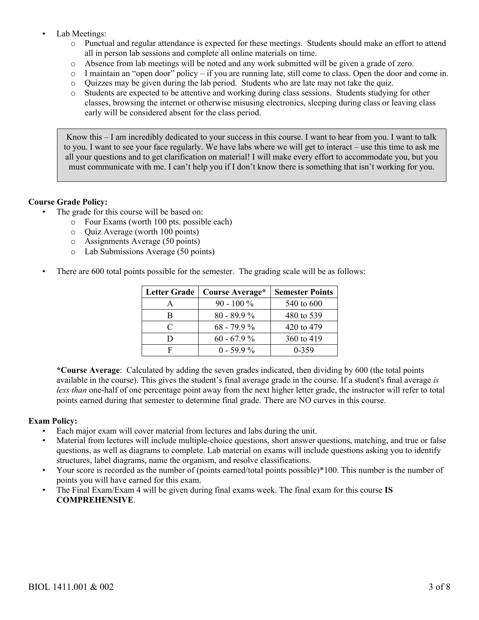- Lab Meetings:
	- o Punctual and regular attendance is expected for these meetings. Students should make an effort to attend all in person lab sessions and complete all online materials on time.
	- o Absence from lab meetings will be noted and any work submitted will be given a grade of zero.
	- o I maintain an "open door" policy if you are running late, still come to class. Open the door and come in.
	- o Quizzes may be given during the lab period. Students who are late may not take the quiz.
	- o Students are expected to be attentive and working during class sessions. Students studying for other classes, browsing the internet or otherwise misusing electronics, sleeping during class or leaving class early will be considered absent for the class period.

Know this – I am incredibly dedicated to your success in this course. I want to hear from you. I want to talk to you. I want to see your face regularly. We have labs where we will get to interact – use this time to ask me all your questions and to get clarification on material! I will make every effort to accommodate you, but you must communicate with me. I can't help you if I don't know there is something that isn't working for you.

# **Course Grade Policy:**

- The grade for this course will be based on:
	- o Four Exams (worth 100 pts. possible each)
	- o Quiz Average (worth 100 points)
	- o Assignments Average (50 points)
	- o Lab Submissions Average (50 points)
- There are 600 total points possible for the semester. The grading scale will be as follows:

| <b>Letter Grade</b> | Course Average* | <b>Semester Points</b> |
|---------------------|-----------------|------------------------|
| А                   | $90 - 100\%$    | 540 to 600             |
| в                   | $80 - 89.9\%$   | 480 to 539             |
| C                   | $68 - 79.9 %$   | 420 to 479             |
| D                   | $60 - 67.9\%$   | 360 to 419             |
| F                   | $0 - 59.9\%$    | $0 - 359$              |

**\*Course Average**: Calculated by adding the seven grades indicated, then dividing by 600 (the total points available in the course). This gives the student's final average grade in the course. If a student's final average *is less than* one-half of one percentage point away from the next higher letter grade, the instructor will refer to total points earned during that semester to determine final grade. There are NO curves in this course.

#### **Exam Policy:**

- Each major exam will cover material from lectures and labs during the unit.
- Material from lectures will include multiple-choice questions, short answer questions, matching, and true or false questions, as well as diagrams to complete. Lab material on exams will include questions asking you to identify structures, label diagrams, name the organism, and resolve classifications.
- Your score is recorded as the number of (points earned/total points possible)\*100. This number is the number of points you will have earned for this exam.
- The Final Exam/Exam 4 will be given during final exams week. The final exam for this course **IS COMPREHENSIVE**.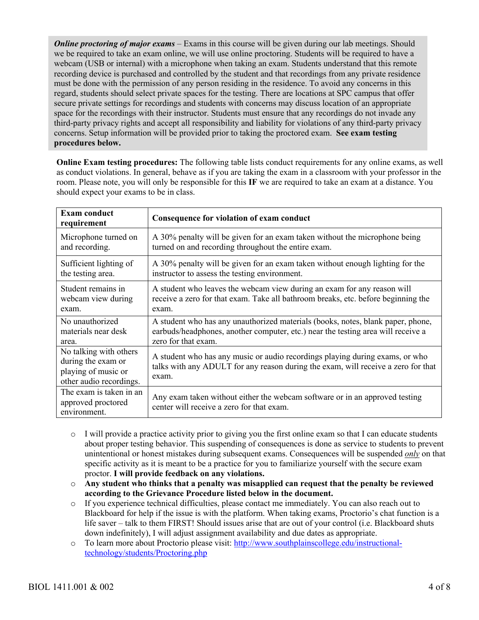*Online proctoring of major exams* – Exams in this course will be given during our lab meetings. Should we be required to take an exam online, we will use online proctoring. Students will be required to have a webcam (USB or internal) with a microphone when taking an exam. Students understand that this remote recording device is purchased and controlled by the student and that recordings from any private residence must be done with the permission of any person residing in the residence. To avoid any concerns in this regard, students should select private spaces for the testing. There are locations at SPC campus that offer secure private settings for recordings and students with concerns may discuss location of an appropriate space for the recordings with their instructor. Students must ensure that any recordings do not invade any third-party privacy rights and accept all responsibility and liability for violations of any third-party privacy concerns. Setup information will be provided prior to taking the proctored exam. **See exam testing procedures below.**

**Online Exam testing procedures:** The following table lists conduct requirements for any online exams, as well as conduct violations. In general, behave as if you are taking the exam in a classroom with your professor in the room. Please note, you will only be responsible for this **IF** we are required to take an exam at a distance. You should expect your exams to be in class.

| <b>Exam conduct</b><br>requirement                                                             | Consequence for violation of exam conduct                                                                                                                                  |
|------------------------------------------------------------------------------------------------|----------------------------------------------------------------------------------------------------------------------------------------------------------------------------|
| Microphone turned on                                                                           | A 30% penalty will be given for an exam taken without the microphone being                                                                                                 |
| and recording.                                                                                 | turned on and recording throughout the entire exam.                                                                                                                        |
| Sufficient lighting of                                                                         | A 30% penalty will be given for an exam taken without enough lighting for the                                                                                              |
| the testing area.                                                                              | instructor to assess the testing environment.                                                                                                                              |
| Student remains in                                                                             | A student who leaves the webcam view during an exam for any reason will                                                                                                    |
| webcam view during                                                                             | receive a zero for that exam. Take all bathroom breaks, etc. before beginning the                                                                                          |
| exam.                                                                                          | exam.                                                                                                                                                                      |
| No unauthorized                                                                                | A student who has any unauthorized materials (books, notes, blank paper, phone,                                                                                            |
| materials near desk                                                                            | earbuds/headphones, another computer, etc.) near the testing area will receive a                                                                                           |
| area.                                                                                          | zero for that exam.                                                                                                                                                        |
| No talking with others<br>during the exam or<br>playing of music or<br>other audio recordings. | A student who has any music or audio recordings playing during exams, or who<br>talks with any ADULT for any reason during the exam, will receive a zero for that<br>exam. |
| The exam is taken in an<br>approved proctored<br>environment.                                  | Any exam taken without either the webcam software or in an approved testing<br>center will receive a zero for that exam.                                                   |

- o I will provide a practice activity prior to giving you the first online exam so that I can educate students about proper testing behavior. This suspending of consequences is done as service to students to prevent unintentional or honest mistakes during subsequent exams. Consequences will be suspended *only* on that specific activity as it is meant to be a practice for you to familiarize yourself with the secure exam proctor. **I will provide feedback on any violations.**
- o **Any student who thinks that a penalty was misapplied can request that the penalty be reviewed according to the Grievance Procedure listed below in the document.**
- o If you experience technical difficulties, please contact me immediately. You can also reach out to Blackboard for help if the issue is with the platform. When taking exams, Proctorio's chat function is a life saver – talk to them FIRST! Should issues arise that are out of your control (i.e. Blackboard shuts down indefinitely), I will adjust assignment availability and due dates as appropriate.
- o To learn more about Proctorio please visit: http://www.southplainscollege.edu/instructionaltechnology/students/Proctoring.php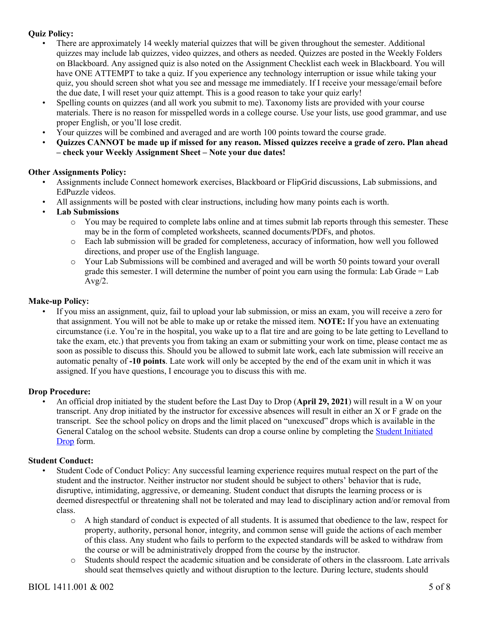# **Quiz Policy:**

- There are approximately 14 weekly material quizzes that will be given throughout the semester. Additional quizzes may include lab quizzes, video quizzes, and others as needed. Quizzes are posted in the Weekly Folders on Blackboard. Any assigned quiz is also noted on the Assignment Checklist each week in Blackboard. You will have ONE ATTEMPT to take a quiz. If you experience any technology interruption or issue while taking your quiz, you should screen shot what you see and message me immediately. If I receive your message/email before the due date, I will reset your quiz attempt. This is a good reason to take your quiz early!
- Spelling counts on quizzes (and all work you submit to me). Taxonomy lists are provided with your course materials. There is no reason for misspelled words in a college course. Use your lists, use good grammar, and use proper English, or you'll lose credit.
- Your quizzes will be combined and averaged and are worth 100 points toward the course grade.
- **Quizzes CANNOT be made up if missed for any reason. Missed quizzes receive a grade of zero. Plan ahead – check your Weekly Assignment Sheet – Note your due dates!**

# **Other Assignments Policy:**

- Assignments include Connect homework exercises, Blackboard or FlipGrid discussions, Lab submissions, and EdPuzzle videos.
- All assignments will be posted with clear instructions, including how many points each is worth.
- **Lab Submissions**
	- o You may be required to complete labs online and at times submit lab reports through this semester. These may be in the form of completed worksheets, scanned documents/PDFs, and photos.
	- o Each lab submission will be graded for completeness, accuracy of information, how well you followed directions, and proper use of the English language.
	- o Your Lab Submissions will be combined and averaged and will be worth 50 points toward your overall grade this semester. I will determine the number of point you earn using the formula: Lab Grade = Lab  $Avg/2$ .

# **Make-up Policy:**

• If you miss an assignment, quiz, fail to upload your lab submission, or miss an exam, you will receive a zero for that assignment. You will not be able to make up or retake the missed item. **NOTE:** If you have an extenuating circumstance (i.e. You're in the hospital, you wake up to a flat tire and are going to be late getting to Levelland to take the exam, etc.) that prevents you from taking an exam or submitting your work on time, please contact me as soon as possible to discuss this. Should you be allowed to submit late work, each late submission will receive an automatic penalty of **-10 points**. Late work will only be accepted by the end of the exam unit in which it was assigned. If you have questions, I encourage you to discuss this with me.

#### **Drop Procedure:**

• An official drop initiated by the student before the Last Day to Drop (**April 29, 2021**) will result in a W on your transcript. Any drop initiated by the instructor for excessive absences will result in either an X or F grade on the transcript. See the school policy on drops and the limit placed on "unexcused" drops which is available in the General Catalog on the school website. Students can drop a course online by completing the Student Initiated Drop form.

#### **Student Conduct:**

- Student Code of Conduct Policy: Any successful learning experience requires mutual respect on the part of the student and the instructor. Neither instructor nor student should be subject to others' behavior that is rude, disruptive, intimidating, aggressive, or demeaning. Student conduct that disrupts the learning process or is deemed disrespectful or threatening shall not be tolerated and may lead to disciplinary action and/or removal from class.
	- o A high standard of conduct is expected of all students. It is assumed that obedience to the law, respect for property, authority, personal honor, integrity, and common sense will guide the actions of each member of this class. Any student who fails to perform to the expected standards will be asked to withdraw from the course or will be administratively dropped from the course by the instructor.
	- o Students should respect the academic situation and be considerate of others in the classroom. Late arrivals should seat themselves quietly and without disruption to the lecture. During lecture, students should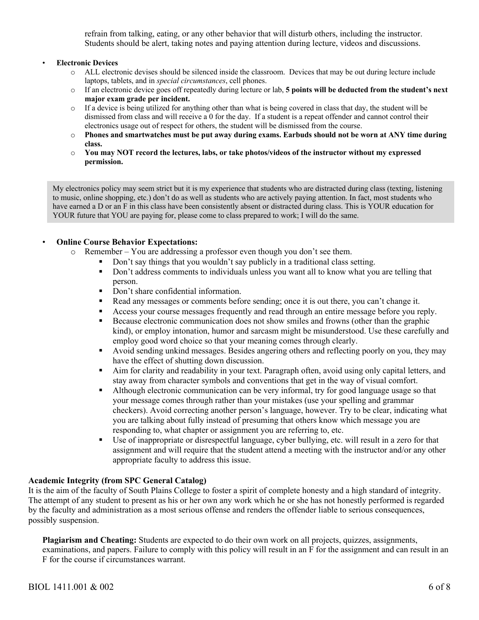refrain from talking, eating, or any other behavior that will disturb others, including the instructor. Students should be alert, taking notes and paying attention during lecture, videos and discussions.

#### • **Electronic Devices**

- o ALL electronic devises should be silenced inside the classroom. Devices that may be out during lecture include laptops, tablets, and in *special circumstances*, cell phones.
- o If an electronic device goes off repeatedly during lecture or lab, **5 points will be deducted from the student's next major exam grade per incident.**
- $\circ$  If a device is being utilized for anything other than what is being covered in class that day, the student will be dismissed from class and will receive a 0 for the day. If a student is a repeat offender and cannot control their electronics usage out of respect for others, the student will be dismissed from the course.
- o **Phones and smartwatches must be put away during exams. Earbuds should not be worn at ANY time during class.**
- o **You may NOT record the lectures, labs, or take photos/videos of the instructor without my expressed permission.**

My electronics policy may seem strict but it is my experience that students who are distracted during class (texting, listening to music, online shopping, etc.) don't do as well as students who are actively paying attention. In fact, most students who have earned a D or an F in this class have been consistently absent or distracted during class. This is YOUR education for YOUR future that YOU are paying for, please come to class prepared to work; I will do the same.

# • **Online Course Behavior Expectations:**

- o Remember You are addressing a professor even though you don't see them.
	- Don't say things that you wouldn't say publicly in a traditional class setting.
	- Don't address comments to individuals unless you want all to know what you are telling that person.
	- Don't share confidential information.
	- Read any messages or comments before sending; once it is out there, you can't change it.
	- **•** Access your course messages frequently and read through an entire message before you reply.
	- Because electronic communication does not show smiles and frowns (other than the graphic kind), or employ intonation, humor and sarcasm might be misunderstood. Use these carefully and employ good word choice so that your meaning comes through clearly.
	- § Avoid sending unkind messages. Besides angering others and reflecting poorly on you, they may have the effect of shutting down discussion.
	- Aim for clarity and readability in your text. Paragraph often, avoid using only capital letters, and stay away from character symbols and conventions that get in the way of visual comfort.
	- Although electronic communication can be very informal, try for good language usage so that your message comes through rather than your mistakes (use your spelling and grammar checkers). Avoid correcting another person's language, however. Try to be clear, indicating what you are talking about fully instead of presuming that others know which message you are responding to, what chapter or assignment you are referring to, etc.
	- § Use of inappropriate or disrespectful language, cyber bullying, etc. will result in a zero for that assignment and will require that the student attend a meeting with the instructor and/or any other appropriate faculty to address this issue.

# **Academic Integrity (from SPC General Catalog)**

It is the aim of the faculty of South Plains College to foster a spirit of complete honesty and a high standard of integrity. The attempt of any student to present as his or her own any work which he or she has not honestly performed is regarded by the faculty and administration as a most serious offense and renders the offender liable to serious consequences, possibly suspension.

**Plagiarism and Cheating:** Students are expected to do their own work on all projects, quizzes, assignments, examinations, and papers. Failure to comply with this policy will result in an F for the assignment and can result in an F for the course if circumstances warrant.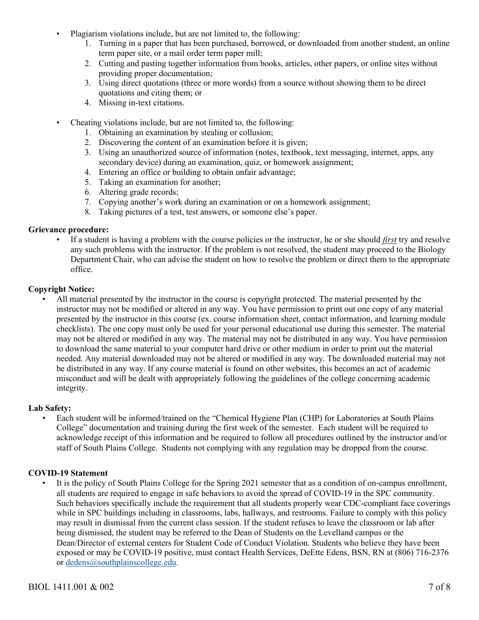- Plagiarism violations include, but are not limited to, the following:
	- 1. Turning in a paper that has been purchased, borrowed, or downloaded from another student, an online term paper site, or a mail order term paper mill;
	- 2. Cutting and pasting together information from books, articles, other papers, or online sites without providing proper documentation;
	- 3. Using direct quotations (three or more words) from a source without showing them to be direct quotations and citing them; or
	- 4. Missing in-text citations.
- Cheating violations include, but are not limited to, the following:
	- 1. Obtaining an examination by stealing or collusion;
	- 2. Discovering the content of an examination before it is given;
	- 3. Using an unauthorized source of information (notes, textbook, text messaging, internet, apps, any secondary device) during an examination, quiz, or homework assignment;
	- 4. Entering an office or building to obtain unfair advantage;
	- 5. Taking an examination for another;
	- 6. Altering grade records;
	- 7. Copying another's work during an examination or on a homework assignment;
	- 8. Taking pictures of a test, test answers, or someone else's paper.

#### **Grievance procedure:**

• If a student is having a problem with the course policies or the instructor, he or she should *first* try and resolve any such problems with the instructor. If the problem is not resolved, the student may proceed to the Biology Department Chair, who can advise the student on how to resolve the problem or direct them to the appropriate office.

# **Copyright Notice:**

• All material presented by the instructor in the course is copyright protected. The material presented by the instructor may not be modified or altered in any way. You have permission to print out one copy of any material presented by the instructor in this course (ex. course information sheet, contact information, and learning module checklists). The one copy must only be used for your personal educational use during this semester. The material may not be altered or modified in any way. The material may not be distributed in any way. You have permission to download the same material to your computer hard drive or other medium in order to print out the material needed. Any material downloaded may not be altered or modified in any way. The downloaded material may not be distributed in any way. If any course material is found on other websites, this becomes an act of academic misconduct and will be dealt with appropriately following the guidelines of the college concerning academic integrity.

#### **Lab Safety:**

• Each student will be informed/trained on the "Chemical Hygiene Plan (CHP) for Laboratories at South Plains College" documentation and training during the first week of the semester. Each student will be required to acknowledge receipt of this information and be required to follow all procedures outlined by the instructor and/or staff of South Plains College. Students not complying with any regulation may be dropped from the course.

#### **COVID-19 Statement**

• It is the policy of South Plains College for the Spring 2021 semester that as a condition of on-campus enrollment, all students are required to engage in safe behaviors to avoid the spread of COVID-19 in the SPC community. Such behaviors specifically include the requirement that all students properly wear CDC-compliant face coverings while in SPC buildings including in classrooms, labs, hallways, and restrooms. Failure to comply with this policy may result in dismissal from the current class session. If the student refuses to leave the classroom or lab after being dismissed, the student may be referred to the Dean of Students on the Levelland campus or the Dean/Director of external centers for Student Code of Conduct Violation. Students who believe they have been exposed or may be COVID-19 positive, must contact Health Services, DeEtte Edens, BSN, RN at (806) 716-2376 or dedens@southplainscollege.edu.